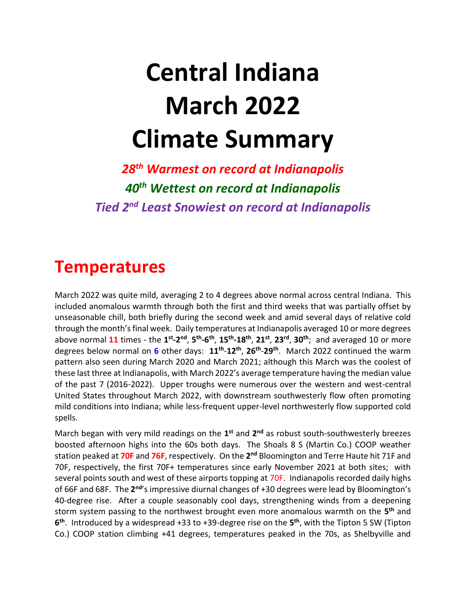# **Central Indiana March 2022 Climate Summary**

*28th Warmest on record at Indianapolis 40th Wettest on record at Indianapolis Tied 2nd Least Snowiest on record at Indianapolis*

#### **Temperatures**

March 2022 was quite mild, averaging 2 to 4 degrees above normal across central Indiana. This included anomalous warmth through both the first and third weeks that was partially offset by unseasonable chill, both briefly during the second week and amid several days of relative cold through the month's final week. Daily temperatures at Indianapolis averaged 10 or more degrees above normal 11 times - the 1<sup>st</sup>-2<sup>nd</sup>, 5<sup>th</sup>-6<sup>th</sup>, 15<sup>th</sup>-18<sup>th</sup>, 21<sup>st</sup>, 23<sup>rd</sup>, 30<sup>th</sup>; and averaged 10 or more degrees below normal on **6** other days: **11th** -**12th** , **26th** -**29th** . March 2022 continued the warm pattern also seen during March 2020 and March 2021; although this March was the coolest of these last three at Indianapolis, with March 2022's average temperature having the median value of the past 7 (2016-2022). Upper troughs were numerous over the western and west-central United States throughout March 2022, with downstream southwesterly flow often promoting mild conditions into Indiana; while less-frequent upper-level northwesterly flow supported cold spells.

March began with very mild readings on the 1<sup>st</sup> and 2<sup>nd</sup> as robust south-southwesterly breezes boosted afternoon highs into the 60s both days. The Shoals 8 S (Martin Co.) COOP weather station peaked at 70F and 76F, respectively. On the 2<sup>nd</sup> Bloomington and Terre Haute hit 71F and 70F, respectively, the first 70F+ temperatures since early November 2021 at both sites; with several points south and west of these airports topping at 70F. Indianapolis recorded daily highs of 66F and 68F. The 2<sup>nd</sup>'s impressive diurnal changes of +30 degrees were lead by Bloomington's 40-degree rise. After a couple seasonably cool days, strengthening winds from a deepening storm system passing to the northwest brought even more anomalous warmth on the **5 th** and **6 th**. Introduced by a widespread +33 to +39-degree rise on the **5 th**, with the Tipton 5 SW (Tipton Co.) COOP station climbing +41 degrees, temperatures peaked in the 70s, as Shelbyville and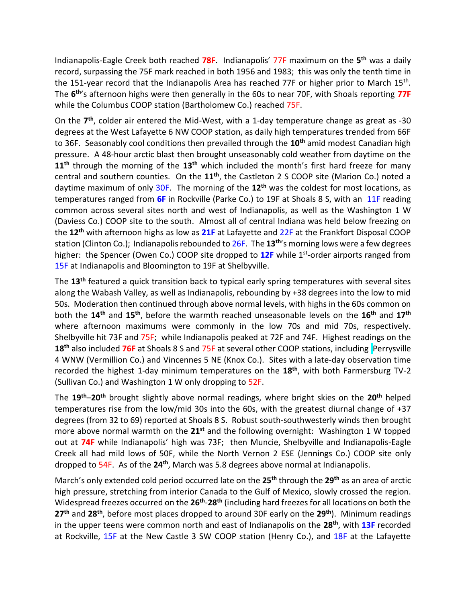Indianapolis-Eagle Creek both reached **78F**. Indianapolis' 77F maximum on the **5 th** was a daily record, surpassing the 75F mark reached in both 1956 and 1983; this was only the tenth time in the 151-year record that the Indianapolis Area has reached 77F or higher prior to March 15<sup>th</sup>. The **6 th**'s afternoon highs were then generally in the 60s to near 70F, with Shoals reporting **77F** while the Columbus COOP station (Bartholomew Co.) reached 75F.

On the **7 th**, colder air entered the Mid-West, with a 1-day temperature change as great as -30 degrees at the West Lafayette 6 NW COOP station, as daily high temperatures trended from 66F to 36F. Seasonably cool conditions then prevailed through the **10th** amid modest Canadian high pressure. A 48-hour arctic blast then brought unseasonably cold weather from daytime on the **11th** through the morning of the **13th** which included the month's first hard freeze for many central and southern counties. On the **11th**, the Castleton 2 S COOP site (Marion Co.) noted a daytime maximum of only 30F. The morning of the **12th** was the coldest for most locations, as temperatures ranged from **6F** in Rockville (Parke Co.) to 19F at Shoals 8 S, with an 11F reading common across several sites north and west of Indianapolis, as well as the Washington 1 W (Daviess Co.) COOP site to the south. Almost all of central Indiana was held below freezing on the **12th** with afternoon highs as low as **21F** at Lafayette and 22F at the Frankfort Disposal COOP station (Clinton Co.); Indianapolis rebounded to 26F. The **13th**'s morning lows were a few degrees higher: the Spencer (Owen Co.) COOP site dropped to 12F while 1<sup>st</sup>-order airports ranged from 15F at Indianapolis and Bloomington to 19F at Shelbyville.

The **13th** featured a quick transition back to typical early spring temperatures with several sites along the Wabash Valley, as well as Indianapolis, rebounding by +38 degrees into the low to mid 50s. Moderation then continued through above normal levels, with highs in the 60s common on both the **14th** and **15th** , before the warmth reached unseasonable levels on the **16th** and **17th** where afternoon maximums were commonly in the low 70s and mid 70s, respectively. Shelbyville hit 73F and 75F; while Indianapolis peaked at 72F and 74F. Highest readings on the 18<sup>th</sup> also included 76F at Shoals 8 S and 75F at several other COOP stations, including Perrysville 4 WNW (Vermillion Co.) and Vincennes 5 NE (Knox Co.). Sites with a late-day observation time recorded the highest 1-day minimum temperatures on the **18th**, with both Farmersburg TV-2 (Sullivan Co.) and Washington 1 W only dropping to 52F.

The **19th**–**20th** brought slightly above normal readings, where bright skies on the **20th** helped temperatures rise from the low/mid 30s into the 60s, with the greatest diurnal change of +37 degrees (from 32 to 69) reported at Shoals 8 S. Robust south-southwesterly winds then brought more above normal warmth on the **21st** and the following overnight: Washington 1 W topped out at **74F** while Indianapolis' high was 73F; then Muncie, Shelbyville and Indianapolis-Eagle Creek all had mild lows of 50F, while the North Vernon 2 ESE (Jennings Co.) COOP site only dropped to 54F. As of the **24th** , March was 5.8 degrees above normal at Indianapolis.

March's only extended cold period occurred late on the **25th** through the **29th** as an area of arctic high pressure, stretching from interior Canada to the Gulf of Mexico, slowly crossed the region. Widespread freezes occurred on the **26th** -**28th** (including hard freezes for all locations on both the **27th** and **28th** , before most places dropped to around 30F early on the **29th**). Minimum readings in the upper teens were common north and east of Indianapolis on the **28th**, with **13F** recorded at Rockville, 15F at the New Castle 3 SW COOP station (Henry Co.), and 18F at the Lafayette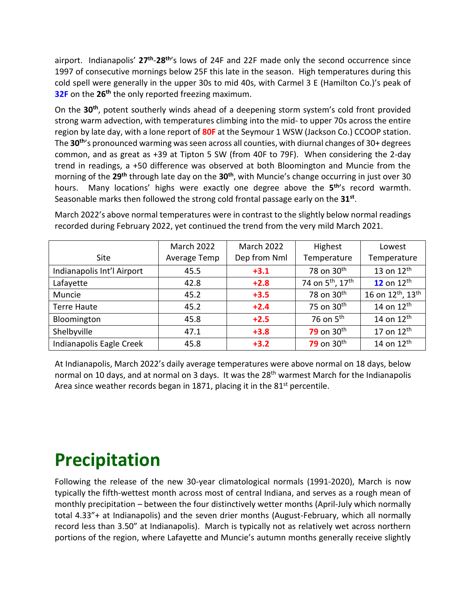airport. Indianapolis' **27th** -**28th**'s lows of 24F and 22F made only the second occurrence since 1997 of consecutive mornings below 25F this late in the season. High temperatures during this cold spell were generally in the upper 30s to mid 40s, with Carmel 3 E (Hamilton Co.)'s peak of **32F** on the **26th** the only reported freezing maximum.

On the **30th**, potent southerly winds ahead of a deepening storm system's cold front provided strong warm advection, with temperatures climbing into the mid- to upper 70s across the entire region by late day, with a lone report of **80F** at the Seymour 1 WSW (Jackson Co.) CCOOP station. The **30th**'s pronounced warming was seen across all counties, with diurnal changes of 30+ degrees common, and as great as +39 at Tipton 5 SW (from 40F to 79F). When considering the 2-day trend in readings, a +50 difference was observed at both Bloomington and Muncie from the morning of the **29th** through late day on the **30th**, with Muncie's change occurring in just over 30 hours. Many locations' highs were exactly one degree above the **5 th**'s record warmth. Seasonable marks then followed the strong cold frontal passage early on the **31st** .

March 2022's above normal temperatures were in contrast to the slightly below normal readings recorded during February 2022, yet continued the trend from the very mild March 2021.

|                            | <b>March 2022</b> | <b>March 2022</b><br>Highest |                                          | Lowest                                    |
|----------------------------|-------------------|------------------------------|------------------------------------------|-------------------------------------------|
| <b>Site</b>                | Average Temp      | Dep from Nml                 | Temperature                              | Temperature                               |
| Indianapolis Int'l Airport | 45.5              | $+3.1$                       | 78 on 30 <sup>th</sup>                   | 13 on $12th$                              |
| Lafayette                  | 42.8              | $+2.8$                       | 74 on 5 <sup>th</sup> , 17 <sup>th</sup> | 12 on $12th$                              |
| Muncie                     | 45.2              | $+3.5$                       | 78 on 30 <sup>th</sup>                   | 16 on 12 <sup>th</sup> , 13 <sup>th</sup> |
| <b>Terre Haute</b>         | 45.2              | $+2.4$                       | 75 on 30 <sup>th</sup>                   | 14 on 12 <sup>th</sup>                    |
| Bloomington                | 45.8              | $+2.5$                       | 76 on $5th$                              | 14 on $12^{\text{th}}$                    |
| Shelbyville                | 47.1              | $+3.8$                       | 79 on 30 <sup>th</sup>                   | 17 on $12th$                              |
| Indianapolis Eagle Creek   | 45.8              | $+3.2$                       | 79 on 30 <sup>th</sup>                   | 14 on 12 <sup>th</sup>                    |

At Indianapolis, March 2022's daily average temperatures were above normal on 18 days, below normal on 10 days, and at normal on 3 days. It was the 28<sup>th</sup> warmest March for the Indianapolis Area since weather records began in 1871, placing it in the 81<sup>st</sup> percentile.

## **Precipitation**

Following the release of the new 30-year climatological normals (1991-2020), March is now typically the fifth-wettest month across most of central Indiana, and serves as a rough mean of monthly precipitation – between the four distinctively wetter months (April-July which normally total 4.33"+ at Indianapolis) and the seven drier months (August-February, which all normally record less than 3.50" at Indianapolis). March is typically not as relatively wet across northern portions of the region, where Lafayette and Muncie's autumn months generally receive slightly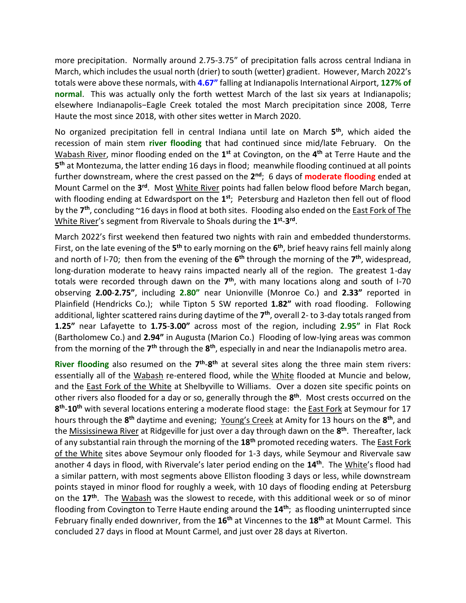more precipitation. Normally around 2.75-3.75" of precipitation falls across central Indiana in March, which includes the usual north (drier) to south (wetter) gradient. However, March 2022's totals were above these normals, with **4.67"** falling at Indianapolis International Airport, **127% of normal**. This was actually only the forth wettest March of the last six years at Indianapolis; elsewhere Indianapolis−Eagle Creek totaled the most March precipitation since 2008, Terre Haute the most since 2018, with other sites wetter in March 2020.

No organized precipitation fell in central Indiana until late on March **5 th**, which aided the recession of main stem **river flooding** that had continued since mid/late February. On the Wabash River, minor flooding ended on the 1<sup>st</sup> at Covington, on the 4<sup>th</sup> at Terre Haute and the **5 th** at Montezuma, the latter ending 16 days in flood; meanwhile flooding continued at all points further downstream, where the crest passed on the 2<sup>nd</sup>; 6 days of **moderate flooding** ended at Mount Carmel on the 3<sup>rd</sup>. Most White River points had fallen below flood before March began, with flooding ending at Edwardsport on the 1<sup>st</sup>; Petersburg and Hazleton then fell out of flood by the **7 th**, concluding ~16 days in flood at both sites. Flooding also ended on the East Fork of The White River's segment from Rivervale to Shoals during the **1 st** -**3 rd** .

March 2022's first weekend then featured two nights with rain and embedded thunderstorms. First, on the late evening of the 5<sup>th</sup> to early morning on the 6<sup>th</sup>, brief heavy rains fell mainly along and north of I-70; then from the evening of the  $6<sup>th</sup>$  through the morning of the  $7<sup>th</sup>$ , widespread, long-duration moderate to heavy rains impacted nearly all of the region. The greatest 1-day totals were recorded through dawn on the 7<sup>th</sup>, with many locations along and south of I-70 observing **2.00**-**2.75"**, including **2.80"** near Unionville (Monroe Co.) and **2.33"** reported in Plainfield (Hendricks Co.); while Tipton 5 SW reported **1.82"** with road flooding. Following additional, lighter scattered rains during daytime of the **7 th** , overall 2- to 3-day totals ranged from **1.25"** near Lafayette to **1.75**-**3.00"** across most of the region, including **2.95"** in Flat Rock (Bartholomew Co.) and **2.94"** in Augusta (Marion Co.) Flooding of low-lying areas was common from the morning of the 7<sup>th</sup> through the 8<sup>th</sup>, especially in and near the Indianapolis metro area.

River flooding also resumed on the 7<sup>th</sup>-8<sup>th</sup> at several sites along the three main stem rivers: essentially all of the Wabash re-entered flood, while the White flooded at Muncie and below, and the **East Fork of the White** at Shelbyville to Williams. Over a dozen site specific points on other rivers also flooded for a day or so, generally through the **8 th**. Most crests occurred on the **8 th** -**10th** with several locations entering a moderate flood stage: the East Fork at Seymour for 17 hours through the **8 th** daytime and evening; Young's Creek at Amity for 13 hours on the **8 th**, and the Mississinewa River at Ridgeville for just over a day through dawn on the **8 th** . Thereafter, lack of any substantial rain through the morning of the **18th** promoted receding waters. The East Fork of the White sites above Seymour only flooded for 1-3 days, while Seymour and Rivervale saw another 4 days in flood, with Rivervale's later period ending on the **14th** . The White's flood had a similar pattern, with most segments above Elliston flooding 3 days or less, while downstream points stayed in minor flood for roughly a week, with 10 days of flooding ending at Petersburg on the **17th**. The Wabash was the slowest to recede, with this additional week or so of minor flooding from Covington to Terre Haute ending around the **14th**; as flooding uninterrupted since February finally ended downriver, from the **16th** at Vincennes to the **18th** at Mount Carmel. This concluded 27 days in flood at Mount Carmel, and just over 28 days at Riverton.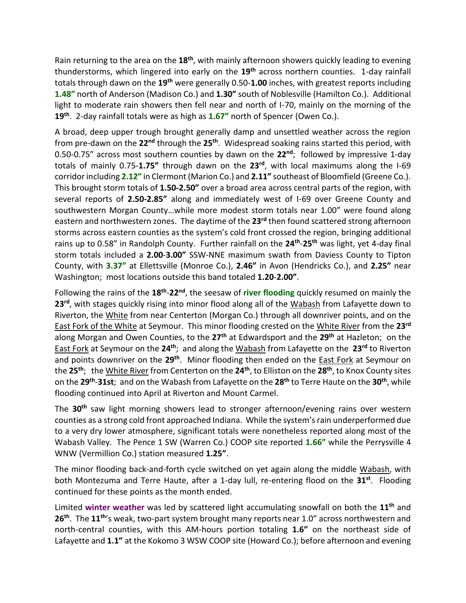Rain returning to the area on the **18th**, with mainly afternoon showers quickly leading to evening thunderstorms, which lingered into early on the **19th** across northern counties. 1-day rainfall totals through dawn on the **19th** were generally 0.50-**1.00** inches, with greatest reports including **1.48"** north of Anderson (Madison Co.) and **1.30"** south of Noblesville (Hamilton Co.). Additional light to moderate rain showers then fell near and north of I-70, mainly on the morning of the **19th**. 2-day rainfall totals were as high as **1.67"** north of Spencer (Owen Co.).

A broad, deep upper trough brought generally damp and unsettled weather across the region from pre-dawn on the **22nd** through the **25th** . Widespread soaking rains started this period, with 0.50-0.75" across most southern counties by dawn on the **22nd**; followed by impressive 1-day totals of mainly 0.75-**1.75"** through dawn on the **23rd**, with local maximums along the I-69 corridor including **2.12"** in Clermont (Marion Co.) and **2.11"** southeast of Bloomfield (Greene Co.). This brought storm totals of **1.50-2.50"** over a broad area across central parts of the region, with several reports of **2.50-2.85"** along and immediately west of I-69 over Greene County and southwestern Morgan County…while more modest storm totals near 1.00" were found along eastern and northwestern zones. The daytime of the **23rd** then found scattered strong afternoon storms across eastern counties as the system's cold front crossed the region, bringing additional rains up to 0.58" in Randolph County. Further rainfall on the **24th** -**25th** was light, yet 4-day final storm totals included a **2.00**-**3.00"** SSW-NNE maximum swath from Daviess County to Tipton County, with **3.37"** at Ellettsville (Monroe Co.), **2.46"** in Avon (Hendricks Co.), and **2.25"** near Washington; most locations outside this band totaled **1.20**-**2.00"**.

Following the rains of the **18th** -**22nd**, the seesaw of **river flooding** quickly resumed on mainly the **23rd**, with stages quickly rising into minor flood along all of the Wabash from Lafayette down to Riverton, the White from near Centerton (Morgan Co.) through all downriver points, and on the East Fork of the White at Seymour. This minor flooding crested on the White River from the **23rd** along Morgan and Owen Counties, to the **27th** at Edwardsport and the **29th** at Hazleton; on the East Fork at Seymour on the **24th**; and along the Wabash from Lafayette on the **23rd** to Riverton and points downriver on the **29th** . Minor flooding then ended on the East Fork at Seymour on the **25th**; the White River from Centerton on the **24th** , to Elliston on the **28th**, to Knox County sites on the **29th** -**31st**; and on the Wabash from Lafayette on the **28th** to Terre Haute on the **30th** , while flooding continued into April at Riverton and Mount Carmel.

The **30th** saw light morning showers lead to stronger afternoon/evening rains over western counties as a strong cold front approached Indiana. While the system's rain underperformed due to a very dry lower atmosphere, significant totals were nonetheless reported along most of the Wabash Valley. The Pence 1 SW (Warren Co.) COOP site reported **1.66"** while the Perrysville 4 WNW (Vermillion Co.) station measured **1.25"**.

The minor flooding back-and-forth cycle switched on yet again along the middle Wabash, with both Montezuma and Terre Haute, after a 1-day lull, re-entering flood on the **31st**. Flooding continued for these points as the month ended.

Limited **winter weather** was led by scattered light accumulating snowfall on both the **11th** and **26th** . The **11th**'s weak, two-part system brought many reports near 1.0" across northwestern and north-central counties, with this AM-hours portion totaling **1.6"** on the northeast side of Lafayette and **1.1"** at the Kokomo 3 WSW COOP site (Howard Co.); before afternoon and evening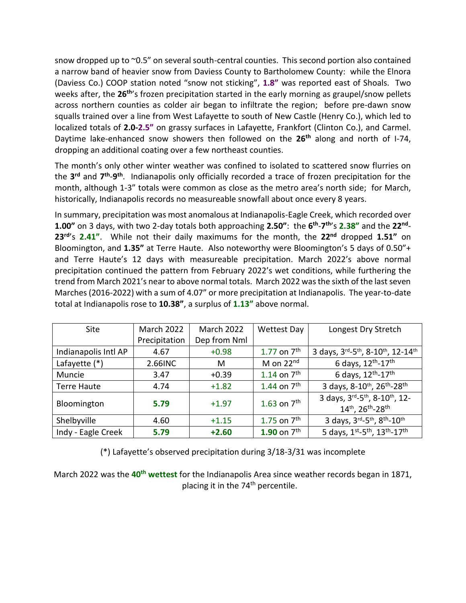snow dropped up to ~0.5" on several south-central counties. This second portion also contained a narrow band of heavier snow from Daviess County to Bartholomew County: while the Elnora (Daviess Co.) COOP station noted "snow not sticking", **1.8"** was reported east of Shoals. Two weeks after, the **26th**'s frozen precipitation started in the early morning as graupel/snow pellets across northern counties as colder air began to infiltrate the region; before pre-dawn snow squalls trained over a line from West Lafayette to south of New Castle (Henry Co.), which led to localized totals of **2.0-2.5"** on grassy surfaces in Lafayette, Frankfort (Clinton Co.), and Carmel. Daytime lake-enhanced snow showers then followed on the **26th** along and north of I-74, dropping an additional coating over a few northeast counties.

The month's only other winter weather was confined to isolated to scattered snow flurries on the **3 rd** and **7 th** -**9 th** . Indianapolis only officially recorded a trace of frozen precipitation for the month, although 1-3" totals were common as close as the metro area's north side; for March, historically, Indianapolis records no measureable snowfall about once every 8 years.

In summary, precipitation was most anomalous at Indianapolis-Eagle Creek, which recorded over **1.00"** on 3 days, with two 2-day totals both approaching **2.50"**: the **6 th** -**7 th**'s **2.38"** and the **22nd** - **23rd**'s **2.41"**. While not their daily maximums for the month, the **22nd** dropped **1.51"** on Bloomington, and **1.35"** at Terre Haute. Also noteworthy were Bloomington's 5 days of 0.50"+ and Terre Haute's 12 days with measureable precipitation. March 2022's above normal precipitation continued the pattern from February 2022's wet conditions, while furthering the trend from March 2021's near to above normal totals. March 2022 was the sixth of the last seven Marches (2016-2022) with a sum of 4.07" or more precipitation at Indianapolis. The year-to-date total at Indianapolis rose to **10.38"**, a surplus of **1.13"** above normal.

| Site                 | <b>March 2022</b> | <b>March 2022</b> | <b>Wettest Day</b>      | Longest Dry Stretch                                              |
|----------------------|-------------------|-------------------|-------------------------|------------------------------------------------------------------|
|                      | Precipitation     | Dep from Nml      |                         |                                                                  |
| Indianapolis Intl AP | 4.67              | $+0.98$           | 1.77 on $7^{\text{th}}$ | 3 days, 3rd-5th, 8-10th, 12-14th                                 |
| Lafayette (*)        | 2.66INC           | M                 | M on $22nd$             | 6 days, 12th-17th                                                |
| Muncie               | 3.47              | $+0.39$           | 1.14 on $7^{th}$        | 6 days, $12^{th} - 17^{th}$                                      |
| <b>Terre Haute</b>   | 4.74              | $+1.82$           | 1.44 on $7^{\text{th}}$ | 3 days, 8-10 <sup>th</sup> , 26 <sup>th</sup> -28 <sup>th</sup>  |
| Bloomington          | 5.79              | $+1.97$           | 1.63 on $7th$           | 3 days, 3rd-5th, 8-10th, 12-<br>14th, 26th-28th                  |
| Shelbyville          | 4.60              | $+1.15$           | 1.75 on $7^{th}$        | 3 days, 3rd-5th, 8th-10th                                        |
| Indy - Eagle Creek   | 5.79              | $+2.60$           | 1.90 on $7^{\text{th}}$ | 5 days, 1st-5 <sup>th</sup> , 13 <sup>th</sup> -17 <sup>th</sup> |

(\*) Lafayette's observed precipitation during 3/18-3/31 was incomplete

March 2022 was the **40th wettest** for the Indianapolis Area since weather records began in 1871, placing it in the 74<sup>th</sup> percentile.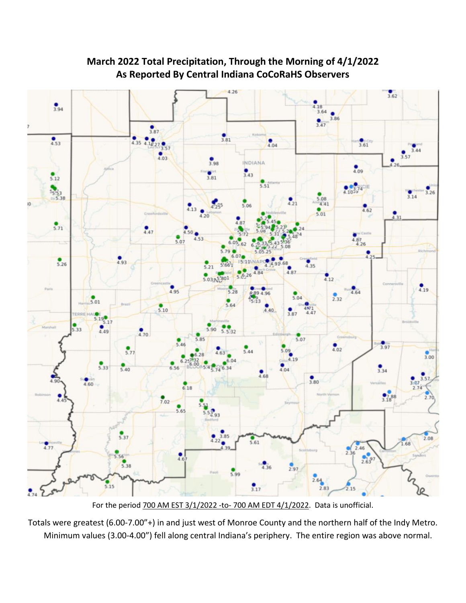

**March 2022 Total Precipitation, Through the Morning of 4/1/2022 As Reported By Central Indiana CoCoRaHS Observers**

For the period 700 AM EST 3/1/2022 -to- 700 AM EDT 4/1/2022. Data is unofficial.

Totals were greatest (6.00-7.00"+) in and just west of Monroe County and the northern half of the Indy Metro. Minimum values (3.00-4.00") fell along central Indiana's periphery. The entire region was above normal.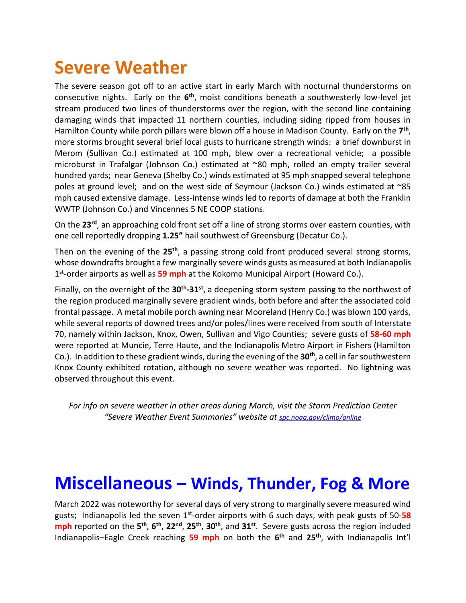### **Severe Weather**

The severe season got off to an active start in early March with nocturnal thunderstorms on consecutive nights. Early on the 6<sup>th</sup>, moist conditions beneath a southwesterly low-level jet stream produced two lines of thunderstorms over the region, with the second line containing damaging winds that impacted 11 northern counties, including siding ripped from houses in Hamilton County while porch pillars were blown off a house in Madison County. Early on the 7<sup>th</sup>, more storms brought several brief local gusts to hurricane strength winds: a brief downburst in Merom (Sullivan Co.) estimated at 100 mph, blew over a recreational vehicle; a possible microburst in Trafalgar (Johnson Co.) estimated at ~80 mph, rolled an empty trailer several hundred yards; near Geneva (Shelby Co.) winds estimated at 95 mph snapped several telephone poles at ground level; and on the west side of Seymour (Jackson Co.) winds estimated at ~85 mph caused extensive damage. Less-intense winds led to reports of damage at both the Franklin WWTP (Johnson Co.) and Vincennes 5 NE COOP stations.

On the **23rd**, an approaching cold front set off a line of strong storms over eastern counties, with one cell reportedly dropping **1.25"** hail southwest of Greensburg (Decatur Co.).

Then on the evening of the **25th**, a passing strong cold front produced several strong storms, whose downdrafts brought a few marginally severe winds gusts as measured at both Indianapolis 1 st -order airports as well as **59 mph** at the Kokomo Municipal Airport (Howard Co.).

Finally, on the overnight of the **30th -31st**, a deepening storm system passing to the northwest of the region produced marginally severe gradient winds, both before and after the associated cold frontal passage. A metal mobile porch awning near Mooreland (Henry Co.) was blown 100 yards, while several reports of downed trees and/or poles/lines were received from south of Interstate 70, namely within Jackson, Knox, Owen, Sullivan and Vigo Counties; severe gusts of **58-60 mph** were reported at Muncie, Terre Haute, and the Indianapolis Metro Airport in Fishers (Hamilton Co.). In addition to these gradient winds, during the evening of the **30th**, a cell in far southwestern Knox County exhibited rotation, although no severe weather was reported. No lightning was observed throughout this event.

*For info on severe weather in other areas during March, visit the Storm Prediction Center "Severe Weather Event Summaries" website at [spc.noaa.gov/climo/online](file://///IND-S-FILESVR/SavedFiles/Climate/Press%20Releases%20and%20News%20Stories/spc.noaa.gov/climo/online)*

#### **Miscellaneous – Winds, Thunder, Fog & More**

March 2022 was noteworthy for several days of very strong to marginally severe measured wind gusts; Indianapolis led the seven 1<sup>st</sup>-order airports with 6 such days, with peak gusts of 50-58 **mph** reported on the **5 th** , **6 th** , **22nd** , **25th** , **30th**, and **31st**. Severe gusts across the region included Indianapolis–Eagle Creek reaching **59 mph** on both the **6 th** and **25th**, with Indianapolis Int'l